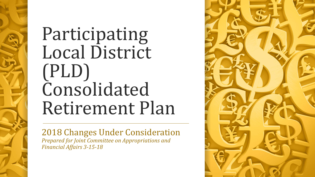# Participating Local District (PLD) Consolidated Retirement Plan

2018 Changes Under Consideration *Prepared for Joint Committee on Appropriations and Financial Affairs 3-15-18*

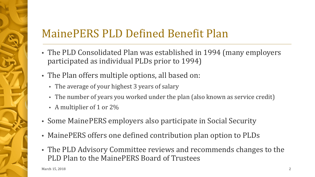# MainePERS PLD Defined Benefit Plan

- The PLD Consolidated Plan was established in 1994 (many employers participated as individual PLDs prior to 1994)
- The Plan offers multiple options, all based on:
	- The average of your highest 3 years of salary
	- The number of years you worked under the plan (also known as service credit)
	- A multiplier of 1 or 2%
- Some MainePERS employers also participate in Social Security
- MainePERS offers one defined contribution plan option to PLDs
- The PLD Advisory Committee reviews and recommends changes to the PLD Plan to the MainePERS Board of Trustees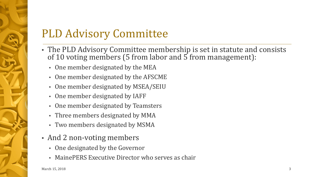# PLD Advisory Committee

- The PLD Advisory Committee membership is set in statute and consists of 10 voting members (5 from labor and 5 from management):
	- One member designated by the MEA
	- One member designated by the AFSCME
	- One member designated by MSEA/SEIU
	- One member designated by IAFF
	- One member designated by Teamsters
	- Three members designated by MMA
	- Two members designated by MSMA
- And 2 non-voting members
	- One designated by the Governor
	- MainePERS Executive Director who serves as chair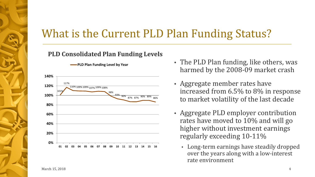# What is the Current PLD Plan Funding Status?

#### **PLD Consolidated Plan Funding Levels**

**PLD Plan Funding Level by Year**



- The PLD Plan funding, like others, was harmed by the 2008-09 market crash
- Aggregate member rates have increased from 6.5% to 8% in response to market volatility of the last decade
- Aggregate PLD employer contribution rates have moved to 10% and will go higher without investment earnings regularly exceeding 10-11%
	- Long-term earnings have steadily dropped over the years along with a low-interest rate environment

March  $15, 2018$  4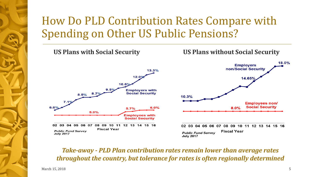# How Do PLD Contribution Rates Compare with Spending on Other US Public Pensions?



*Take-away - PLD Plan contribution rates remain lower than average rates throughout the country, but tolerance for rates is often regionally determined*

March  $15, 2018$  5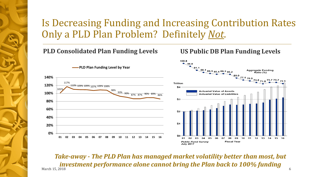### Is Decreasing Funding and Increasing Contribution Rates Only a PLD Plan Problem? Definitely *Not*.

#### **PLD Consolidated Plan Funding Levels US Public DB Plan Funding Levels**



March  $15, 2018$  6 *Take-away - The PLD Plan has managed market volatility better than most, but investment performance alone cannot bring the Plan back to 100% funding*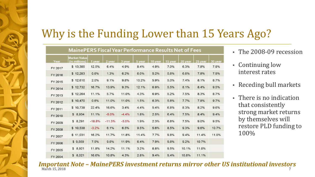# Why is the Funding Lower than 15 Years Ago?

| <b>MainePERS Fiscal Year Performance Results Net of Fees</b> |                                      |          |          |         |        |         |         |         |         |                  |
|--------------------------------------------------------------|--------------------------------------|----------|----------|---------|--------|---------|---------|---------|---------|------------------|
| Year                                                         | <b>Market Value</b><br>(in millions) | 1 year   | 2 year   | 3 year  | 5 year | 10 year | 15 year | 20 year | 25 year | 30 <sub>ye</sub> |
| FY 2017                                                      | \$13,385                             | 12.5%    | 6.4%     | 4.9%    | 8.4%   | 4.9%    | 7.0%    | 6.3%    | 7.8%    | 7.9%             |
| FY 2016                                                      | \$12,283                             | 0.6%     | 1.3%     | 6.2%    | 6.0%   | 5.2%    | 5.6%    | 6.6%    | 7.8%    | 7.9%             |
| FY 2015                                                      | \$12,610                             | 2.0%     | 9.1%     | 9.8%    | 10.2%  | 5.9%    | 5.0%    | 7.4%    | 8.1%    | 8.7%             |
| FY 2014                                                      | \$12,732                             | 16.7%    | 13.9%    | 9.3%    | 12.1%  | 6.9%    | 5.5%    | 8.1%    | 8.4%    | 9.5%             |
| FY 2013                                                      | \$12,264                             | 11.1%    | 5.7%     | 11.0%   | 4.3%   | 6.9%    | 5.2%    | 7.5%    | 8.3%    | 8.7%             |
| FY 2012                                                      | \$10,470                             | 0.6%     | 11.0%    | 11.0%   | 1.5%   | 6.3%    | 5.6%    | 7.7%    | 7.8%    | 9.7%             |
| FY 2011                                                      | \$10,739                             | 22.4%    | 16.6%    | 3.4%    | 4.4%   | 5.4%    | 6.8%    | 8.3%    | 8.2%    | 9.6%             |
| FY 2010                                                      | \$8,934                              | 11.1%    | $-5.0%$  | $-4.4%$ | 1.8%   | 2.5%    | 6.4%    | 7.5%    | 8.4%    | 9.4%             |
| FY 2009                                                      | \$8,291                              | $-18.8%$ | $-11.3%$ | $-3.0%$ | 1.9%   | 2.3%    | 6.8%    | 7.5%    | 9.0%    | 9.5%             |
| FY 2008                                                      | \$10,538                             | $-3.2%$  | 6.1%     | 6.5%    | 9.5%   | 5.6%    | 8.5%    | 9.3%    | 9.6%    | 10.7%            |
| FY 2007                                                      | \$11,031                             | 16.2%    | 11.7%    | 11.8%   | 11.4%  | 7.7%    | 9.8%    | 9.4%    | 11.4%   | 11.09            |
| FY 2006                                                      | \$9,559                              | 7.5%     | 9.6%     | 11.9%   | 6.4%   | 7.9%    | 9.6%    | 9.2%    | 10.7%   |                  |
| FY 2005                                                      | 8,921<br>\$                          | 11.8%    | 14.2%    | 11.1%   | 3.2%   | 8.8%    | 9.5%    | 10.1%   | 11.0%   |                  |
| FY 2004                                                      | 8,021<br>\$                          | 16.6%    | 10.8%    | 4.3%    | 2.8%   | 9.4%    | 9.4%    | 10.8%   | 11.1%   |                  |

- The 2008-09 recession
- Continuing low interest rates
- Receding bull markets
- There is no indication that consistently strong market returns by themselves will restore PLD funding to 100%

March 15, 2018 <sup>7</sup> *Important Note – MainePERS investment returns mirror other US institutional investors*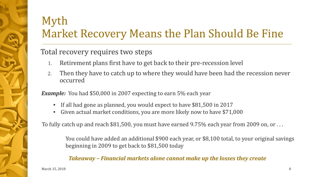# Myth Market Recovery Means the Plan Should Be Fine

#### Total recovery requires two steps

- 1. Retirement plans first have to get back to their pre-recession level
- 2. Then they have to catch up to where they would have been had the recession never occurred

*Example:* You had \$50,000 in 2007 expecting to earn 5% each year

- If all had gone as planned, you would expect to have \$81,500 in 2017
- Given actual market conditions, you are more likely now to have \$71,000

To fully catch up and reach \$81,500, you must have earned 9.75% each year from 2009 on, or . . .

You could have added an additional \$900 each year, or \$8,100 total, to your original savings beginning in 2009 to get back to \$81,500 today

*Takeaway – Financial markets alone cannot make up the losses they create*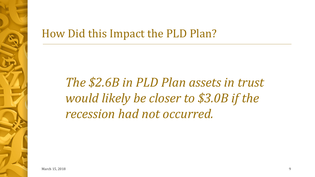# How Did this Impact the PLD Plan?

*The \$2.6B in PLD Plan assets in trust would likely be closer to \$3.0B if the recession had not occurred.*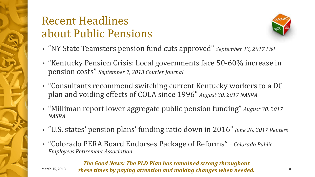# Recent Headlines about Public Pensions



- "NY State Teamsters pension fund cuts approved" *September 13, 2017 P&I*
- "Kentucky Pension Crisis: Local governments face 50-60% increase in pension costs" *September 7, 2013 Courier Journal*
- "Consultants recommend switching current Kentucky workers to a DC plan and voiding effects of COLA since 1996" *August 30, 2017 NASRA*
- "Milliman report lower aggregate public pension funding" *August 30, 2017 NASRA*
- "U.S. states' pension plans' funding ratio down in 2016" *June 26, 2017 Reuters*
- "Colorado PERA Board Endorses Package of Reforms" *– Colorado Public Employees Retirement Association*

<sup>March 15, 2018</sup> these times by paying attention and making changes when needed.  $10\,$ *The Good News: The PLD Plan has remained strong throughout*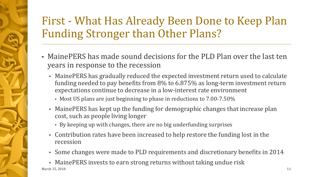# First - What Has Already Been Done to Keep Plan Funding Stronger than Other Plans?

- MainePERS has made sound decisions for the PLD Plan over the last ten years in response to the recession
	- MainePERS has gradually reduced the expected investment return used to calculate funding needed to pay benefits from 8% to 6.875% as long-term investment return expectations continue to decrease in a low-interest rate environment
		- Most US plans are just beginning to phase in reductions to 7.00-7.50%
	- MainePERS has kept up the funding for demographic changes that increase plan cost, such as people living longer
		- By keeping up with changes, there are no big underfunding surprises
	- Contribution rates have been increased to help restore the funding lost in the recession
	- Some changes were made to PLD requirements and discretionary benefits in 2014

• MainePERS invests to earn strong returns without taking undue risk<br>March 15, 2018 March  $15, 2018$  11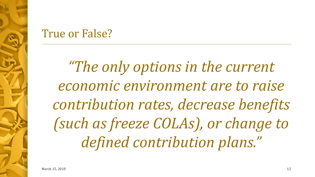# True or False?

*"The only options in the current economic environment are to raise contribution rates, decrease benefits (such as freeze COLAs), or change to defined contribution plans."*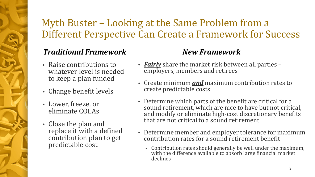# Myth Buster – Looking at the Same Problem from a Different Perspective Can Create a Framework for Success

### *Traditional Framework*

- Raise contributions to whatever level is needed to keep a plan funded
- Change benefit levels
- Lower, freeze, or eliminate COLAs
- Close the plan and replace it with a defined contribution plan to get predictable cost

### *New Framework*

- *Fairly* share the market risk between all parties employers, members and retirees
- Create minimum *and* maximum contribution rates to create predictable costs
- Determine which parts of the benefit are critical for a sound retirement, which are nice to have but not critical, and modify or eliminate high-cost discretionary benefits that are not critical to a sound retirement
- Determine member and employer tolerance for maximum contribution rates for a sound retirement benefit
	- Contribution rates should generally be well under the maximum, with the difference available to absorb large financial market declines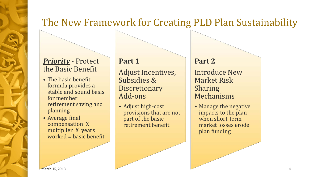### The New Framework for Creating PLD Plan Sustainability

#### *Priority* - Protect the Basic Benefit

- The basic benefit formula provides a stable and sound basis for member retirement saving and planning
- Average final compensation X multiplier X years worked = basic benefit

#### **Part 1**

Adjust Incentives, Subsidies & **Discretionary** Add-ons

• Adjust high-cost provisions that are not part of the basic retirement benefit

#### **Part 2**

Introduce New Market Risk Sharing Mechanisms

• Manage the negative impacts to the plan when short-term market losses erode plan funding

March 15, 2018  $14$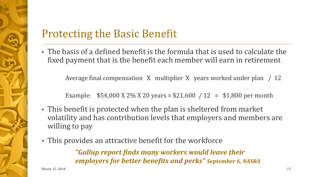# Protecting the Basic Benefit

• The basis of a defined benefit is the formula that is used to calculate the fixed payment that is the benefit each member will earn in retirement

Average final compensation X multiplier X years worked under plan / 12

Example:  $$54,000 \text{ X } 2\% \text{ X } 20 \text{ years} = $21,600 / 12 = $1,800 \text{ per month}$ 

- This benefit is protected when the plan is sheltered from market volatility and has contribution levels that employers and members are willing to pay
- This provides an attractive benefit for the workforce

*"Gallup report finds many workers would leave their employers for better benefits and perks" September 6, NASRA*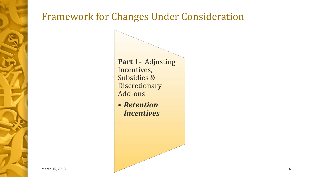# Framework for Changes Under Consideration

Part 1- Adjusting Incentives, Subsidies & Discretionary Add-ons

• *Retention Incentives*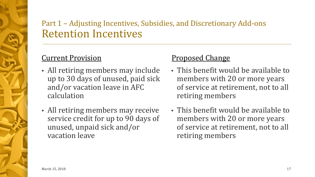### Part 1 – Adjusting Incentives, Subsidies, and Discretionary Add-ons Retention Incentives

### Current Provision

- All retiring members may include up to 30 days of unused, paid sick and/or vacation leave in AFC calculation
- All retiring members may receive service credit for up to 90 days of unused, unpaid sick and/or vacation leave

#### Proposed Change

- This benefit would be available to members with 20 or more years of service at retirement, not to all retiring members
- This benefit would be available to members with 20 or more years of service at retirement, not to all retiring members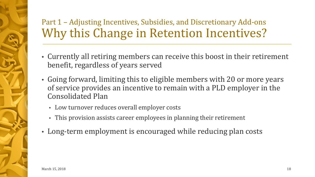# Part 1 – Adjusting Incentives, Subsidies, and Discretionary Add-ons Why this Change in Retention Incentives?

- Currently all retiring members can receive this boost in their retirement benefit, regardless of years served
- Going forward, limiting this to eligible members with 20 or more years of service provides an incentive to remain with a PLD employer in the Consolidated Plan
	- Low turnover reduces overall employer costs
	- This provision assists career employees in planning their retirement
- Long-term employment is encouraged while reducing plan costs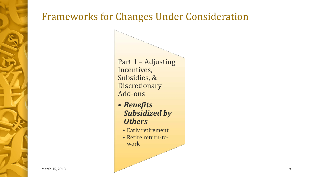# Frameworks for Changes Under Consideration

Part 1 – Adjusting Incentives, Subsidies, & Discretionary Add-ons

- *Benefits Subsidized by Others*
	- Early retirement
	- Retire return-towork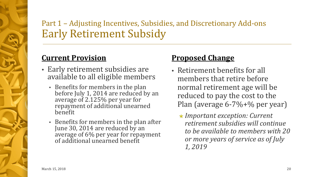### Part 1 – Adjusting Incentives, Subsidies, and Discretionary Add-ons Early Retirement Subsidy

#### **Current Provision**

- Early retirement subsidies are available to all eligible members
	- Benefits for members in the plan before July 1, 2014 are reduced by an average of 2.125% per year for repayment of additional unearned benefit
	- Benefits for members in the plan after June 30, 2014 are reduced by an average of 6% per year for repayment of additional unearned benefit

#### **Proposed Change**

- Retirement benefits for all members that retire before normal retirement age will be reduced to pay the cost to the Plan (average 6-7%+% per year)
	- *Important exception: Current retirement subsidies will continue to be available to members with 20 or more years of service as of July 1, 2019*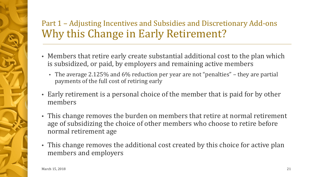### Part 1 – Adjusting Incentives and Subsidies and Discretionary Add-ons Why this Change in Early Retirement?

- Members that retire early create substantial additional cost to the plan which is subsidized, or paid, by employers and remaining active members
	- The average 2.125% and 6% reduction per year are not "penalties" they are partial payments of the full cost of retiring early
- Early retirement is a personal choice of the member that is paid for by other members
- This change removes the burden on members that retire at normal retirement age of subsidizing the choice of other members who choose to retire before normal retirement age
- This change removes the additional cost created by this choice for active plan members and employers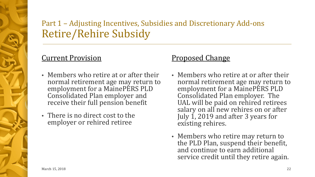### Part 1 – Adjusting Incentives, Subsidies and Discretionary Add-ons Retire/Rehire Subsidy

#### Current Provision

- Members who retire at or after their normal retirement age may return to employment for a MainePERS PLD Consolidated Plan employer and receive their full pension benefit
- There is no direct cost to the employer or rehired retiree

#### Proposed Change

- Members who retire at or after their normal retirement age may return to employment for a MainePERS PLD Consolidated Plan employer. The UAL will be paid on rehired retirees salary on all new rehires on or after July 1, 2019 and after 3 years for existing rehires.
- Members who retire may return to the PLD Plan, suspend their benefit, and continue to earn additional service credit until they retire again.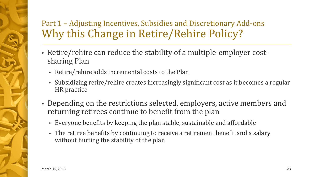### Part 1 – Adjusting Incentives, Subsidies and Discretionary Add-ons Why this Change in Retire/Rehire Policy?

- Retire/rehire can reduce the stability of a multiple-employer costsharing Plan
	- Retire/rehire adds incremental costs to the Plan
	- Subsidizing retire/rehire creates increasingly significant cost as it becomes a regular HR practice
- Depending on the restrictions selected, employers, active members and returning retirees continue to benefit from the plan
	- Everyone benefits by keeping the plan stable, sustainable and affordable
	- The retiree benefits by continuing to receive a retirement benefit and a salary without hurting the stability of the plan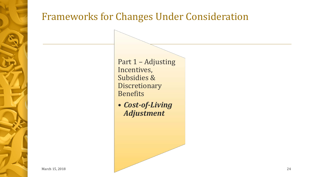# Frameworks for Changes Under Consideration

Part 1 – Adjusting Incentives, Subsidies & Discretionary Benefits

• *Cost-of-Living Adjustment*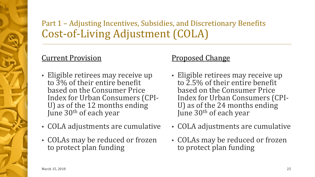### Part 1 – Adjusting Incentives, Subsidies, and Discretionary Benefits Cost-of-Living Adjustment (COLA)

### Current Provision

- Eligible retirees may receive up to 3% of their entire benefit based on the Consumer Price<br>Index for Urban Consumers (CPI-U) as of the 12 months ending June 30<sup>th</sup> of each year
- COLA adjustments are cumulative
- COLAs may be reduced or frozen to protect plan funding

#### Proposed Change

- Eligible retirees may receive up to 2.5% of their entire benefit based on the Consumer Price<br>Index for Urban Consumers (CPI-U) as of the 24 months ending June 30<sup>th</sup> of each year
- COLA adjustments are cumulative
- COLAs may be reduced or frozen to protect plan funding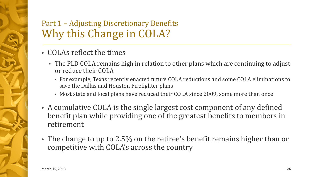### Part 1 – Adjusting Discretionary Benefits Why this Change in COLA?

- COLAs reflect the times
	- The PLD COLA remains high in relation to other plans which are continuing to adjust or reduce their COLA
		- For example, Texas recently enacted future COLA reductions and some COLA eliminations to save the Dallas and Houston Firefighter plans
		- Most state and local plans have reduced their COLA since 2009, some more than once
- A cumulative COLA is the single largest cost component of any defined benefit plan while providing one of the greatest benefits to members in retirement
- The change to up to 2.5% on the retiree's benefit remains higher than or competitive with COLA's across the country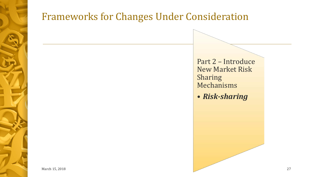

## Frameworks for Changes Under Consideration

Part 2 – Introduce New Market Risk Sharing Mechanisms

• *Risk-sharing*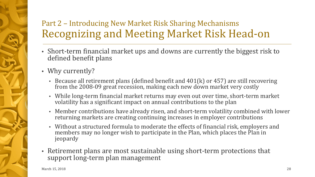### Part 2 – Introducing New Market Risk Sharing Mechanisms Recognizing and Meeting Market Risk Head-on

- Short-term financial market ups and downs are currently the biggest risk to defined benefit plans
- Why currently?
	- Because all retirement plans (defined benefit and 401(k) or 457) are still recovering from the 2008-09 great recession, making each new down market very costly
	- While long-term financial market returns may even out over time, short-term market volatility has a significant impact on annual contributions to the plan
	- Member contributions have already risen, and short-term volatility combined with lower returning markets are creating continuing increases in employer contributions
	- Without a structured formula to moderate the effects of financial risk, employers and members may no longer wish to participate in the Plan, which places the Plan in jeopardy
- Retirement plans are most sustainable using short-term protections that support long-term plan management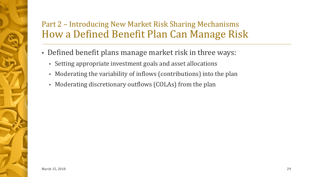### Part 2 – Introducing New Market Risk Sharing Mechanisms How a Defined Benefit Plan Can Manage Risk

- Defined benefit plans manage market risk in three ways:
	- Setting appropriate investment goals and asset allocations
	- Moderating the variability of inflows (contributions) into the plan
	- Moderating discretionary outflows (COLAs) from the plan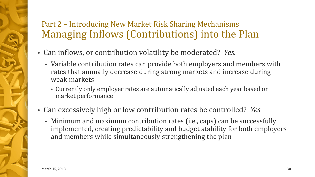### Part 2 – Introducing New Market Risk Sharing Mechanisms Managing Inflows (Contributions) into the Plan

• Can inflows, or contribution volatility be moderated? *Yes.*

- Variable contribution rates can provide both employers and members with rates that annually decrease during strong markets and increase during weak markets
	- Currently only employer rates are automatically adjusted each year based on market performance
- Can excessively high or low contribution rates be controlled? *Yes*
	- Minimum and maximum contribution rates (i.e., caps) can be successfully implemented, creating predictability and budget stability for both employers and members while simultaneously strengthening the plan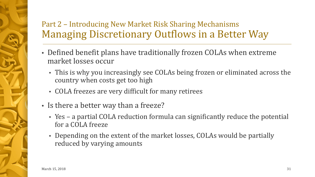### Part 2 – Introducing New Market Risk Sharing Mechanisms Managing Discretionary Outflows in a Better Way

- Defined benefit plans have traditionally frozen COLAs when extreme market losses occur
	- This is why you increasingly see COLAs being frozen or eliminated across the country when costs get too high
	- COLA freezes are very difficult for many retirees
- Is there a better way than a freeze?
	- Yes a partial COLA reduction formula can significantly reduce the potential for a COLA freeze
	- Depending on the extent of the market losses, COLAs would be partially reduced by varying amounts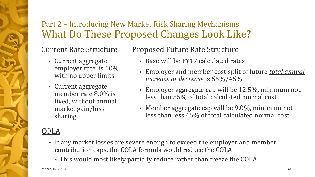### Part 2 – Introducing New Market Risk Sharing Mechanisms What Do These Proposed Changes Look Like?

### Current Rate Structure

- Current aggregate employer rate is 10% with no upper limits
- Current aggregate member rate 8.0% is fixed, without annual market gain/loss sharing

### Proposed Future Rate Structure

- Base will be FY17 calculated rates
- Employer and member cost split of future *total annual increase or decrease* is 55%/45%
- Employer aggregate cap will be 12.5%, minimum not less than 55% of total calculated normal cost
- Member aggregate cap will be 9.0%, minimum not less than less 45% of total calculated normal cost

#### COLA

- If any market losses are severe enough to exceed the employer and member contribution caps, the COLA formula would reduce the COLA
	- This would most likely partially reduce rather than freeze the COLA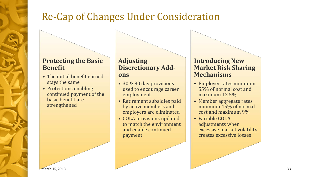# Re-Cap of Changes Under Consideration

#### **Protecting the Basic Benefit**

- The initial benefit earned stays the same
- Protections enabling continued payment of the basic benefit are strengthened

#### **Adjusting Discretionary Addons**

- 30 & 90 day provisions used to encourage career employment
- Retirement subsidies paid by active members and employers are eliminated
- COLA provisions updated to match the environment and enable continued payment

#### **Introducing New Market Risk Sharing Mechanisms**

- Employer rates minimum 55% of normal cost and maximum 12.5%
- Member aggregate rates minimum 45% of normal cost and maximum 9%
- Variable COLA adjustments when excessive market volatility creates excessive losses

March 15, 2018  $\sim$  33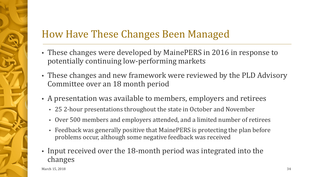# How Have These Changes Been Managed

- These changes were developed by MainePERS in 2016 in response to potentially continuing low-performing markets
- These changes and new framework were reviewed by the PLD Advisory Committee over an 18 month period
- A presentation was available to members, employers and retirees
	- 25 2-hour presentations throughout the state in October and November
	- Over 500 members and employers attended, and a limited number of retirees
	- Feedback was generally positive that MainePERS is protecting the plan before problems occur, although some negative feedback was received
- Input received over the 18-month period was integrated into the changes

March  $15, 2018$   $34$